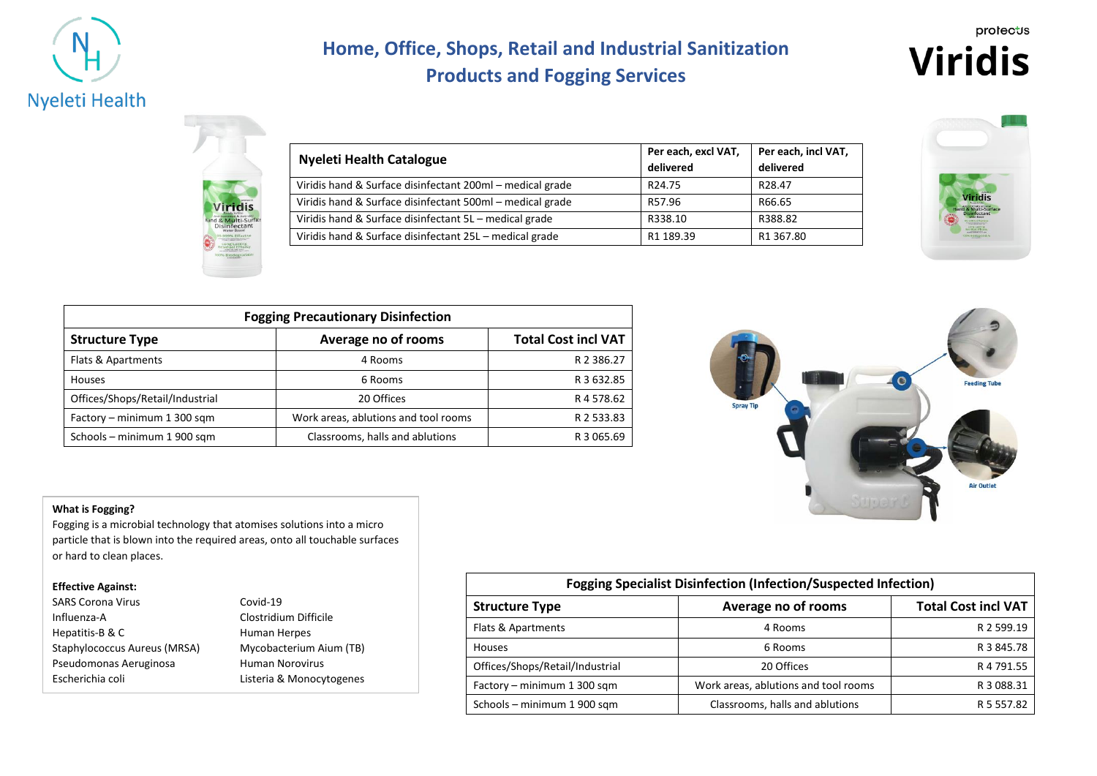

# **Home, Office, Shops, Retail and Industrial Sanitization Products and Fogging Services**



| <b>Nyeleti Health Catalogue</b>                           | Per each, excl VAT,<br>delivered | Per each, incl VAT,<br>delivered |
|-----------------------------------------------------------|----------------------------------|----------------------------------|
| Viridis hand & Surface disinfectant 200ml – medical grade | R <sub>24.75</sub>               | R <sub>28.47</sub>               |
| Viridis hand & Surface disinfectant 500ml - medical grade | R57.96                           | R66.65                           |
| Viridis hand & Surface disinfectant 5L – medical grade    | R338.10                          | R388.82                          |
| Viridis hand & Surface disinfectant 25L – medical grade   | R1 189.39                        | R1 367.80                        |



| <b>Fogging Precautionary Disinfection</b> |                                      |                            |  |  |
|-------------------------------------------|--------------------------------------|----------------------------|--|--|
| <b>Structure Type</b>                     | Average no of rooms                  | <b>Total Cost incl VAT</b> |  |  |
| Flats & Apartments                        | 4 Rooms                              | R 2 386.27                 |  |  |
| Houses                                    | 6 Rooms                              | R 3 632.85                 |  |  |
| Offices/Shops/Retail/Industrial           | 20 Offices                           | R 4 578.62                 |  |  |
| Factory - minimum 1 300 sqm               | Work areas, ablutions and tool rooms | R 2 533.83                 |  |  |
| Schools - minimum 1 900 sqm               | Classrooms, halls and ablutions      | R 3 065.69                 |  |  |



#### **What is Fogging?**

Fogging is a microbial technology that atomises solutions into a micro particle that is blown into the required areas, onto all touchable surfaces or hard to clean places.

#### **Effective Against:**

| <b>SARS Corona Virus</b>     |
|------------------------------|
| Influenza-A                  |
| Hepatitis-B & C              |
| Staphylococcus Aureus (MRSA) |
| Pseudomonas Aeruginosa       |
| Escherichia coli             |

Covid-19 Clostridium Difficile Human Herpes Mycobacterium Aium (TB) **Human Norovirus** Listeria & Monocytogenes

| <b>Fogging Specialist Disinfection (Infection/Suspected Infection)</b> |                                      |                            |  |  |
|------------------------------------------------------------------------|--------------------------------------|----------------------------|--|--|
| <b>Structure Type</b>                                                  | Average no of rooms                  | <b>Total Cost incl VAT</b> |  |  |
| Flats & Apartments                                                     | 4 Rooms                              | R 2 599.19                 |  |  |
| Houses                                                                 | 6 Rooms                              | R 3 845.78                 |  |  |
| Offices/Shops/Retail/Industrial                                        | 20 Offices                           | R 4 791.55                 |  |  |
| Factory - minimum 1 300 sqm                                            | Work areas, ablutions and tool rooms | R 3 088.31                 |  |  |
| Schools - minimum 1 900 sqm                                            | Classrooms, halls and ablutions      | R 5 557.82                 |  |  |